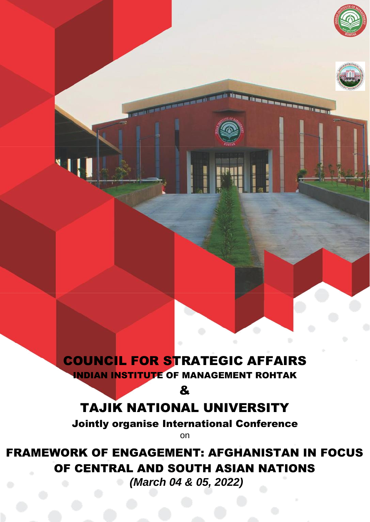

**The Contract of Contract of the Contract of The Contract of The Contract of The Contract of The Contract of The Contract of The Contract of The Contract of The Contract of The Contract of The Contract of The Contract of T** 

# &

# TAJIK NATIONAL UNIVERSITY

Jointly organise International Conference on

FRAMEWORK OF ENGAGEMENT: AFGHANISTAN IN FOCUS OF CENTRAL AND SOUTH ASIAN NATIONS *(March 04 & 05, 2022)*